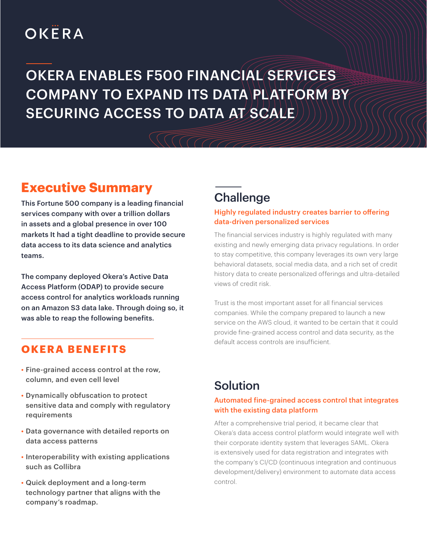# OKËRA

# OKERA ENABLES F500 FINANCIAL SERVICES COMPANY TO EXPAND ITS DATA PLATFORM BY SECURING ACCESS TO DATA AT SCALE

# **Executive Summary**

This Fortune 500 company is a leading financial services company with over a trillion dollars in assets and a global presence in over 100 markets It had a tight deadline to provide secure data access to its data science and analytics teams.

The company deployed Okera's Active Data Access Platform (ODAP) to provide secure access control for analytics workloads running on an Amazon S3 data lake. Through doing so, it was able to reap the following benefits.

### **OKERA BENEFITS**

- Fine-grained access control at the row, column, and even cell level
- Dynamically obfuscation to protect sensitive data and comply with regulatory requirements
- Data governance with detailed reports on data access patterns
- Interoperability with existing applications such as Collibra
- Quick deployment and a long-term technology partner that aligns with the company's roadmap.

## **Challenge**

#### Highly regulated industry creates barrier to offering data-driven personalized services

The financial services industry is highly regulated with many existing and newly emerging data privacy regulations. In order to stay competitive, this company leverages its own very large behavioral datasets, social media data, and a rich set of credit history data to create personalized offerings and ultra-detailed views of credit risk.

Trust is the most important asset for all financial services companies. While the company prepared to launch a new service on the AWS cloud, it wanted to be certain that it could provide fine-grained access control and data security, as the default access controls are insufficient.

## Solution

### Automated fine-grained access control that integrates with the existing data platform

After a comprehensive trial period, it became clear that Okera's data access control platform would integrate well with their corporate identity system that leverages SAML. Okera is extensively used for data registration and integrates with the company's CI/CD (continuous integration and continuous development/delivery) environment to automate data access control.